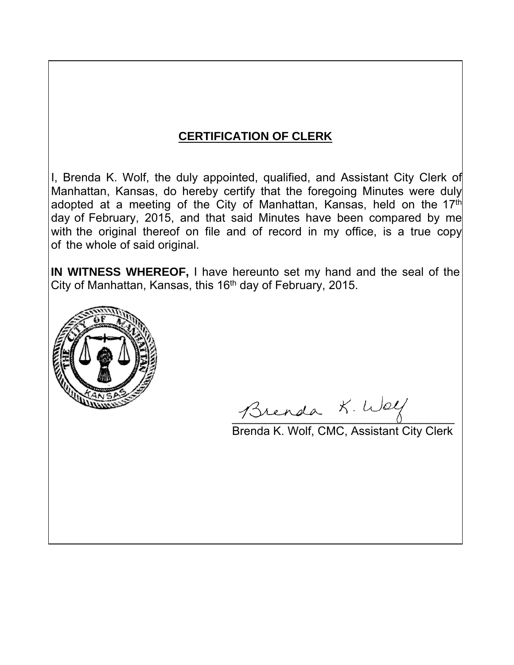## **CERTIFICATION OF CLERK**

I, Brenda K. Wolf, the duly appointed, qualified, and Assistant City Clerk of Manhattan, Kansas, do hereby certify that the foregoing Minutes were duly adopted at a meeting of the City of Manhattan, Kansas, held on the 17<sup>th</sup> day of February, 2015, and that said Minutes have been compared by me with the original thereof on file and of record in my office, is a true copy of the whole of said original.

**IN WITNESS WHEREOF,** I have hereunto set my hand and the seal of the City of Manhattan, Kansas, this 16<sup>th</sup> day of February, 2015.



Brenda K. Welf

Brenda K. Wolf, CMC, Assistant City Clerk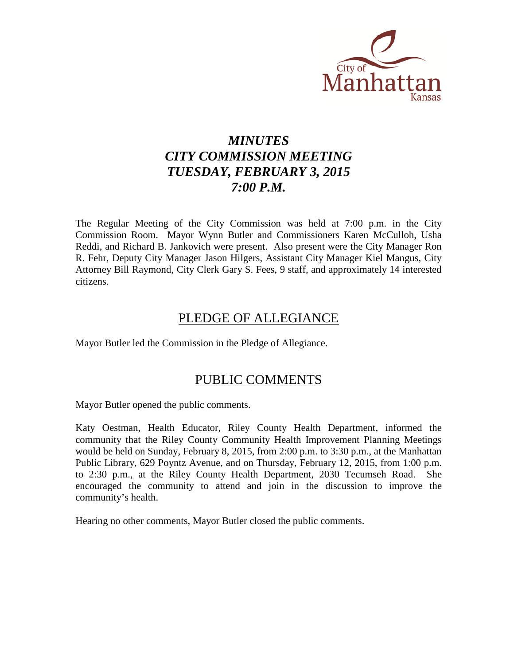

## *MINUTES CITY COMMISSION MEETING TUESDAY, FEBRUARY 3, 2015 7:00 P.M.*

The Regular Meeting of the City Commission was held at 7:00 p.m. in the City Commission Room. Mayor Wynn Butler and Commissioners Karen McCulloh, Usha Reddi, and Richard B. Jankovich were present. Also present were the City Manager Ron R. Fehr, Deputy City Manager Jason Hilgers, Assistant City Manager Kiel Mangus, City Attorney Bill Raymond, City Clerk Gary S. Fees, 9 staff, and approximately 14 interested citizens.

## PLEDGE OF ALLEGIANCE

Mayor Butler led the Commission in the Pledge of Allegiance.

## PUBLIC COMMENTS

Mayor Butler opened the public comments.

Katy Oestman, Health Educator, Riley County Health Department, informed the community that the Riley County Community Health Improvement Planning Meetings would be held on Sunday, February 8, 2015, from 2:00 p.m. to 3:30 p.m., at the Manhattan Public Library, 629 Poyntz Avenue, and on Thursday, February 12, 2015, from 1:00 p.m. to 2:30 p.m., at the Riley County Health Department, 2030 Tecumseh Road. She encouraged the community to attend and join in the discussion to improve the community's health.

Hearing no other comments, Mayor Butler closed the public comments.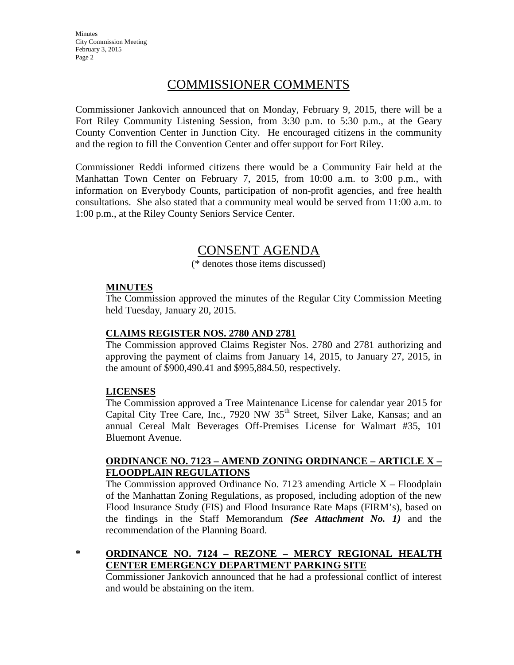**Minutes** City Commission Meeting February 3, 2015 Page 2

## COMMISSIONER COMMENTS

Commissioner Jankovich announced that on Monday, February 9, 2015, there will be a Fort Riley Community Listening Session, from 3:30 p.m. to 5:30 p.m., at the Geary County Convention Center in Junction City. He encouraged citizens in the community and the region to fill the Convention Center and offer support for Fort Riley.

Commissioner Reddi informed citizens there would be a Community Fair held at the Manhattan Town Center on February 7, 2015, from 10:00 a.m. to 3:00 p.m., with information on Everybody Counts, participation of non-profit agencies, and free health consultations. She also stated that a community meal would be served from 11:00 a.m. to 1:00 p.m., at the Riley County Seniors Service Center.

## CONSENT AGENDA

(\* denotes those items discussed)

#### **MINUTES**

The Commission approved the minutes of the Regular City Commission Meeting held Tuesday, January 20, 2015.

#### **CLAIMS REGISTER NOS. 2780 AND 2781**

The Commission approved Claims Register Nos. 2780 and 2781 authorizing and approving the payment of claims from January 14, 2015, to January 27, 2015, in the amount of \$900,490.41 and \$995,884.50, respectively.

#### **LICENSES**

The Commission approved a Tree Maintenance License for calendar year 2015 for Capital City Tree Care, Inc., 7920 NW  $35<sup>th</sup>$  Street, Silver Lake, Kansas; and an annual Cereal Malt Beverages Off-Premises License for Walmart #35, 101 Bluemont Avenue.

#### **ORDINANCE NO. 7123 – AMEND ZONING ORDINANCE – ARTICLE X – FLOODPLAIN REGULATIONS**

The Commission approved Ordinance No. 7123 amending Article  $X - Floodplain$ of the Manhattan Zoning Regulations, as proposed, including adoption of the new Flood Insurance Study (FIS) and Flood Insurance Rate Maps (FIRM's), based on the findings in the Staff Memorandum *(See Attachment No. 1)* and the recommendation of the Planning Board.

**\* ORDINANCE NO. 7124 – REZONE – MERCY REGIONAL HEALTH CENTER EMERGENCY DEPARTMENT PARKING SITE**

Commissioner Jankovich announced that he had a professional conflict of interest and would be abstaining on the item.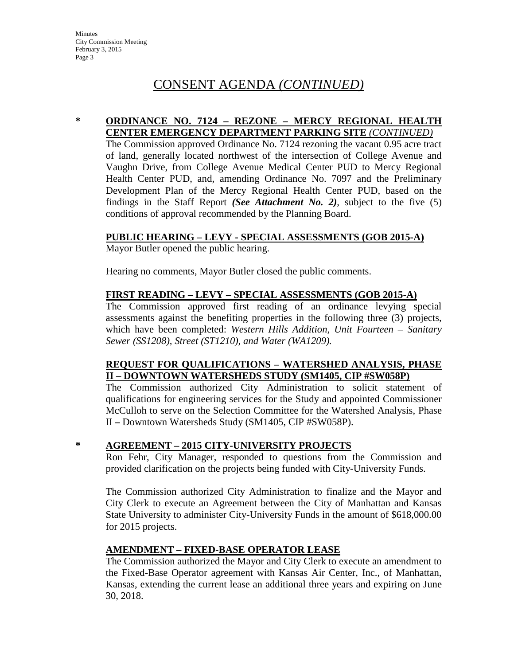## CONSENT AGENDA *(CONTINUED)*

#### **\* ORDINANCE NO. 7124 – REZONE – MERCY REGIONAL HEALTH CENTER EMERGENCY DEPARTMENT PARKING SITE** *(CONTINUED)*

The Commission approved Ordinance No. 7124 rezoning the vacant 0.95 acre tract of land, generally located northwest of the intersection of College Avenue and Vaughn Drive, from College Avenue Medical Center PUD to Mercy Regional Health Center PUD, and, amending Ordinance No. 7097 and the Preliminary Development Plan of the Mercy Regional Health Center PUD, based on the findings in the Staff Report *(See Attachment No. 2)*, subject to the five (5) conditions of approval recommended by the Planning Board.

#### **PUBLIC HEARING – LEVY - SPECIAL ASSESSMENTS (GOB 2015-A)**

Mayor Butler opened the public hearing.

Hearing no comments, Mayor Butler closed the public comments.

#### **FIRST READING – LEVY – SPECIAL ASSESSMENTS (GOB 2015-A)**

The Commission approved first reading of an ordinance levying special assessments against the benefiting properties in the following three (3) projects, which have been completed: *Western Hills Addition, Unit Fourteen – Sanitary Sewer (SS1208), Street (ST1210), and Water (WA1209).*

#### **REQUEST FOR QUALIFICATIONS – WATERSHED ANALYSIS, PHASE II – DOWNTOWN WATERSHEDS STUDY (SM1405, CIP #SW058P)**

The Commission authorized City Administration to solicit statement of qualifications for engineering services for the Study and appointed Commissioner McCulloh to serve on the Selection Committee for the Watershed Analysis, Phase II **–** Downtown Watersheds Study (SM1405, CIP #SW058P).

#### **\* AGREEMENT – 2015 CITY-UNIVERSITY PROJECTS**

Ron Fehr, City Manager, responded to questions from the Commission and provided clarification on the projects being funded with City-University Funds.

The Commission authorized City Administration to finalize and the Mayor and City Clerk to execute an Agreement between the City of Manhattan and Kansas State University to administer City-University Funds in the amount of \$618,000.00 for 2015 projects.

#### **AMENDMENT – FIXED-BASE OPERATOR LEASE**

The Commission authorized the Mayor and City Clerk to execute an amendment to the Fixed-Base Operator agreement with Kansas Air Center, Inc., of Manhattan, Kansas, extending the current lease an additional three years and expiring on June 30, 2018.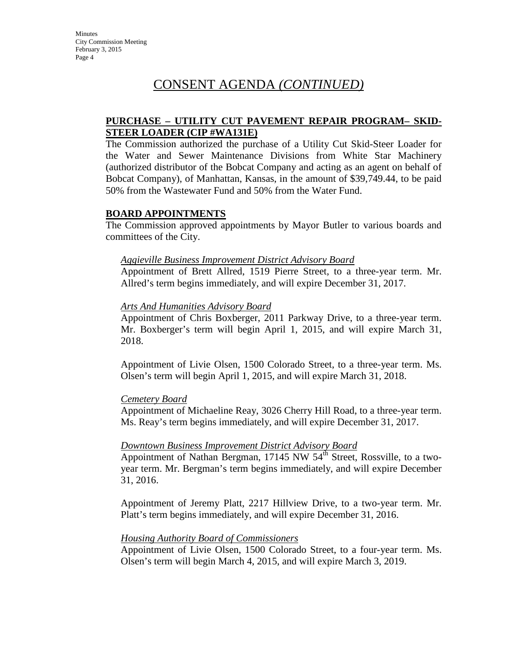## CONSENT AGENDA *(CONTINUED)*

#### **PURCHASE – UTILITY CUT PAVEMENT REPAIR PROGRAM– SKID-STEER LOADER (CIP #WA131E)**

The Commission authorized the purchase of a Utility Cut Skid-Steer Loader for the Water and Sewer Maintenance Divisions from White Star Machinery (authorized distributor of the Bobcat Company and acting as an agent on behalf of Bobcat Company), of Manhattan, Kansas, in the amount of \$39,749.44, to be paid 50% from the Wastewater Fund and 50% from the Water Fund.

#### **BOARD APPOINTMENTS**

The Commission approved appointments by Mayor Butler to various boards and committees of the City.

#### *Aggieville Business Improvement District Advisory Board*

Appointment of Brett Allred, 1519 Pierre Street, to a three-year term. Mr. Allred's term begins immediately, and will expire December 31, 2017.

#### *Arts And Humanities Advisory Board*

Appointment of Chris Boxberger, 2011 Parkway Drive, to a three-year term. Mr. Boxberger's term will begin April 1, 2015, and will expire March 31, 2018.

Appointment of Livie Olsen, 1500 Colorado Street, to a three-year term. Ms. Olsen's term will begin April 1, 2015, and will expire March 31, 2018.

#### *Cemetery Board*

Appointment of Michaeline Reay, 3026 Cherry Hill Road, to a three-year term. Ms. Reay's term begins immediately, and will expire December 31, 2017.

#### *Downtown Business Improvement District Advisory Board*

Appointment of Nathan Bergman, 17145 NW  $54^{\overline{th}}$  Street, Rossville, to a twoyear term. Mr. Bergman's term begins immediately, and will expire December 31, 2016.

Appointment of Jeremy Platt, 2217 Hillview Drive, to a two-year term. Mr. Platt's term begins immediately, and will expire December 31, 2016.

#### *Housing Authority Board of Commissioners*

Appointment of Livie Olsen, 1500 Colorado Street, to a four-year term. Ms. Olsen's term will begin March 4, 2015, and will expire March 3, 2019.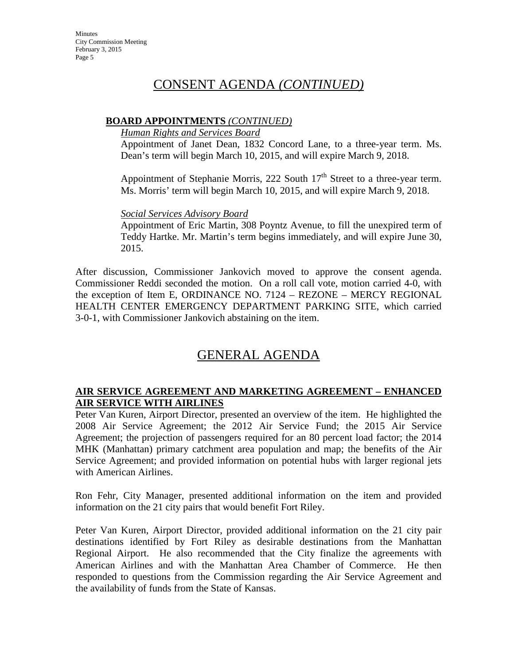## CONSENT AGENDA *(CONTINUED)*

#### **BOARD APPOINTMENTS** *(CONTINUED)*

#### *Human Rights and Services Board*

Appointment of Janet Dean, 1832 Concord Lane, to a three-year term. Ms. Dean's term will begin March 10, 2015, and will expire March 9, 2018.

Appointment of Stephanie Morris, 222 South  $17<sup>th</sup>$  Street to a three-year term. Ms. Morris' term will begin March 10, 2015, and will expire March 9, 2018.

#### *Social Services Advisory Board*

Appointment of Eric Martin, 308 Poyntz Avenue, to fill the unexpired term of Teddy Hartke. Mr. Martin's term begins immediately, and will expire June 30, 2015.

After discussion, Commissioner Jankovich moved to approve the consent agenda. Commissioner Reddi seconded the motion. On a roll call vote, motion carried 4-0, with the exception of Item E, ORDINANCE NO. 7124 – REZONE – MERCY REGIONAL HEALTH CENTER EMERGENCY DEPARTMENT PARKING SITE, which carried 3-0-1, with Commissioner Jankovich abstaining on the item.

## GENERAL AGENDA

#### **AIR SERVICE AGREEMENT AND MARKETING AGREEMENT – ENHANCED AIR SERVICE WITH AIRLINES**

Peter Van Kuren, Airport Director, presented an overview of the item. He highlighted the 2008 Air Service Agreement; the 2012 Air Service Fund; the 2015 Air Service Agreement; the projection of passengers required for an 80 percent load factor; the 2014 MHK (Manhattan) primary catchment area population and map; the benefits of the Air Service Agreement; and provided information on potential hubs with larger regional jets with American Airlines.

Ron Fehr, City Manager, presented additional information on the item and provided information on the 21 city pairs that would benefit Fort Riley.

Peter Van Kuren, Airport Director, provided additional information on the 21 city pair destinations identified by Fort Riley as desirable destinations from the Manhattan Regional Airport. He also recommended that the City finalize the agreements with American Airlines and with the Manhattan Area Chamber of Commerce. He then responded to questions from the Commission regarding the Air Service Agreement and the availability of funds from the State of Kansas.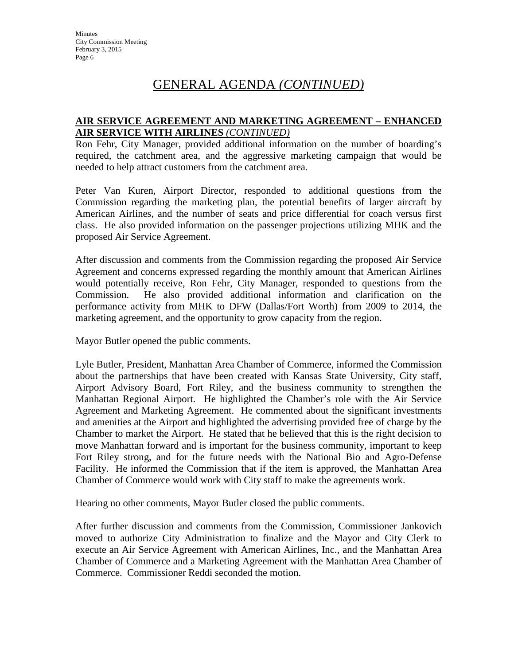## GENERAL AGENDA *(CONTINUED)*

#### **AIR SERVICE AGREEMENT AND MARKETING AGREEMENT – ENHANCED AIR SERVICE WITH AIRLINES** *(CONTINUED)*

Ron Fehr, City Manager, provided additional information on the number of boarding's required, the catchment area, and the aggressive marketing campaign that would be needed to help attract customers from the catchment area.

Peter Van Kuren, Airport Director, responded to additional questions from the Commission regarding the marketing plan, the potential benefits of larger aircraft by American Airlines, and the number of seats and price differential for coach versus first class. He also provided information on the passenger projections utilizing MHK and the proposed Air Service Agreement.

After discussion and comments from the Commission regarding the proposed Air Service Agreement and concerns expressed regarding the monthly amount that American Airlines would potentially receive, Ron Fehr, City Manager, responded to questions from the Commission. He also provided additional information and clarification on the performance activity from MHK to DFW (Dallas/Fort Worth) from 2009 to 2014, the marketing agreement, and the opportunity to grow capacity from the region.

Mayor Butler opened the public comments.

Lyle Butler, President, Manhattan Area Chamber of Commerce, informed the Commission about the partnerships that have been created with Kansas State University, City staff, Airport Advisory Board, Fort Riley, and the business community to strengthen the Manhattan Regional Airport. He highlighted the Chamber's role with the Air Service Agreement and Marketing Agreement. He commented about the significant investments and amenities at the Airport and highlighted the advertising provided free of charge by the Chamber to market the Airport. He stated that he believed that this is the right decision to move Manhattan forward and is important for the business community, important to keep Fort Riley strong, and for the future needs with the National Bio and Agro-Defense Facility. He informed the Commission that if the item is approved, the Manhattan Area Chamber of Commerce would work with City staff to make the agreements work.

Hearing no other comments, Mayor Butler closed the public comments.

After further discussion and comments from the Commission, Commissioner Jankovich moved to authorize City Administration to finalize and the Mayor and City Clerk to execute an Air Service Agreement with American Airlines, Inc., and the Manhattan Area Chamber of Commerce and a Marketing Agreement with the Manhattan Area Chamber of Commerce. Commissioner Reddi seconded the motion.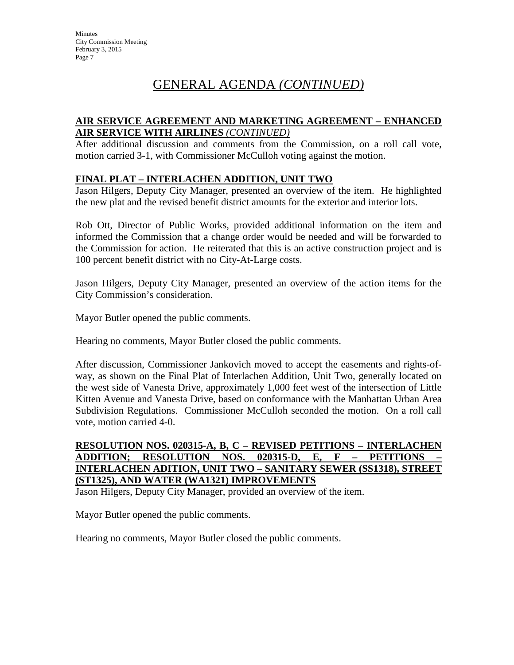## GENERAL AGENDA *(CONTINUED)*

#### **AIR SERVICE AGREEMENT AND MARKETING AGREEMENT – ENHANCED AIR SERVICE WITH AIRLINES** *(CONTINUED)*

After additional discussion and comments from the Commission, on a roll call vote, motion carried 3-1, with Commissioner McCulloh voting against the motion.

#### **FINAL PLAT – INTERLACHEN ADDITION, UNIT TWO**

Jason Hilgers, Deputy City Manager, presented an overview of the item. He highlighted the new plat and the revised benefit district amounts for the exterior and interior lots.

Rob Ott, Director of Public Works, provided additional information on the item and informed the Commission that a change order would be needed and will be forwarded to the Commission for action. He reiterated that this is an active construction project and is 100 percent benefit district with no City-At-Large costs.

Jason Hilgers, Deputy City Manager, presented an overview of the action items for the City Commission's consideration.

Mayor Butler opened the public comments.

Hearing no comments, Mayor Butler closed the public comments.

After discussion, Commissioner Jankovich moved to accept the easements and rights-ofway, as shown on the Final Plat of Interlachen Addition, Unit Two, generally located on the west side of Vanesta Drive, approximately 1,000 feet west of the intersection of Little Kitten Avenue and Vanesta Drive, based on conformance with the Manhattan Urban Area Subdivision Regulations. Commissioner McCulloh seconded the motion. On a roll call vote, motion carried 4-0.

#### **RESOLUTION NOS. 020315-A, B, C – REVISED PETITIONS – INTERLACHEN ADDITION; RESOLUTION NOS. 020315-D, E, F – PETITIONS – INTERLACHEN ADITION, UNIT TWO – SANITARY SEWER (SS1318), STREET (ST1325), AND WATER (WA1321) IMPROVEMENTS**

Jason Hilgers, Deputy City Manager, provided an overview of the item.

Mayor Butler opened the public comments.

Hearing no comments, Mayor Butler closed the public comments.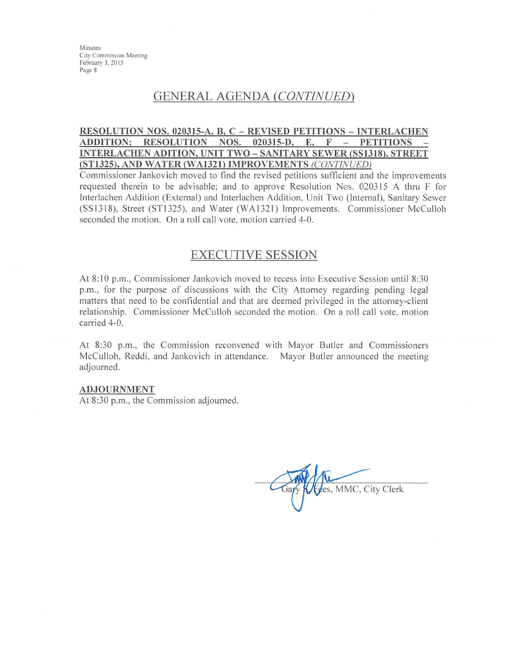Minutes City Commission Meeting February 3, 2015 Page 8

## **GENERAL AGENDA (CONTINUED)**

#### RESOLUTION NOS. 020315-A, B, C – REVISED PETITIONS – INTERLACHEN **ADDITION; RESOLUTION** NOS.  $020315 - D,$  $E_{\bullet}$  $\mathbf F$ **PETITIONS INTERLACHEN ADITION, UNIT TWO - SANITARY SEWER (SS1318), STREET** (ST1325), AND WATER (WA1321) IMPROVEMENTS (CONTINUED)

Commissioner Jankovich moved to find the revised petitions sufficient and the improvements requested therein to be advisable; and to approve Resolution Nos. 020315 A thru F for Interlachen Addition (External) and Interlachen Addition, Unit Two (Internal), Sanitary Sewer (SS1318), Street (ST1325), and Water (WA1321) Improvements. Commissioner McCulloh seconded the motion. On a roll call vote, motion carried 4-0.

### **EXECUTIVE SESSION**

At 8:10 p.m., Commissioner Jankovich moved to recess into Executive Session until 8:30 p.m., for the purpose of discussions with the City Attorney regarding pending legal matters that need to be confidential and that are deemed privileged in the attorney-client relationship. Commissioner McCulloh seconded the motion. On a roll call vote, motion carried 4-0.

At 8:30 p.m., the Commission reconvened with Mayor Butler and Commissioners McCulloh, Reddi, and Jankovich in attendance. Mayor Butler announced the meeting adjourned.

#### **ADJOURNMENT**

At 8:30 p.m., the Commission adjourned.

tes, MMC, City Clerk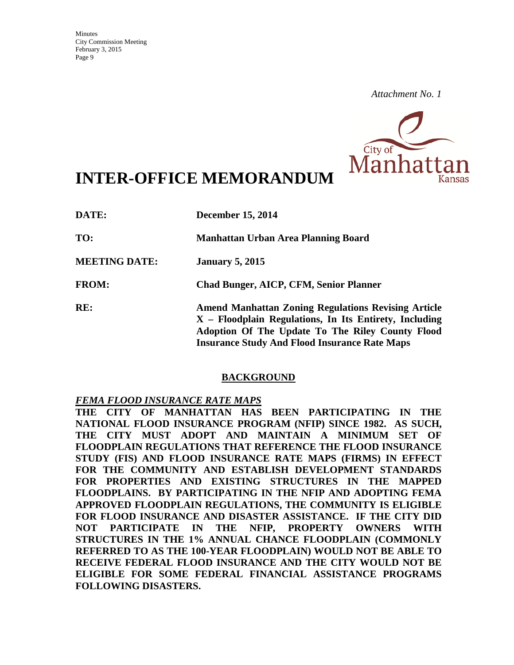

# **INTER-OFFICE MEMORANDUM**

| DATE:                | <b>December 15, 2014</b>                                                                                                                                                                                                           |
|----------------------|------------------------------------------------------------------------------------------------------------------------------------------------------------------------------------------------------------------------------------|
| TO:                  | Manhattan Urban Area Planning Board                                                                                                                                                                                                |
| <b>MEETING DATE:</b> | <b>January 5, 2015</b>                                                                                                                                                                                                             |
| <b>FROM:</b>         | <b>Chad Bunger, AICP, CFM, Senior Planner</b>                                                                                                                                                                                      |
| RE:                  | <b>Amend Manhattan Zoning Regulations Revising Article</b><br>$X$ – Floodplain Regulations, In Its Entirety, Including<br>Adoption Of The Update To The Riley County Flood<br><b>Insurance Study And Flood Insurance Rate Maps</b> |

#### **BACKGROUND**

#### *FEMA FLOOD INSURANCE RATE MAPS*

**THE CITY OF MANHATTAN HAS BEEN PARTICIPATING IN THE NATIONAL FLOOD INSURANCE PROGRAM (NFIP) SINCE 1982. AS SUCH, THE CITY MUST ADOPT AND MAINTAIN A MINIMUM SET OF FLOODPLAIN REGULATIONS THAT REFERENCE THE FLOOD INSURANCE STUDY (FIS) AND FLOOD INSURANCE RATE MAPS (FIRMS) IN EFFECT FOR THE COMMUNITY AND ESTABLISH DEVELOPMENT STANDARDS FOR PROPERTIES AND EXISTING STRUCTURES IN THE MAPPED FLOODPLAINS. BY PARTICIPATING IN THE NFIP AND ADOPTING FEMA APPROVED FLOODPLAIN REGULATIONS, THE COMMUNITY IS ELIGIBLE FOR FLOOD INSURANCE AND DISASTER ASSISTANCE. IF THE CITY DID NOT PARTICIPATE IN THE NFIP, PROPERTY OWNERS WITH STRUCTURES IN THE 1% ANNUAL CHANCE FLOODPLAIN (COMMONLY REFERRED TO AS THE 100-YEAR FLOODPLAIN) WOULD NOT BE ABLE TO RECEIVE FEDERAL FLOOD INSURANCE AND THE CITY WOULD NOT BE ELIGIBLE FOR SOME FEDERAL FINANCIAL ASSISTANCE PROGRAMS FOLLOWING DISASTERS.**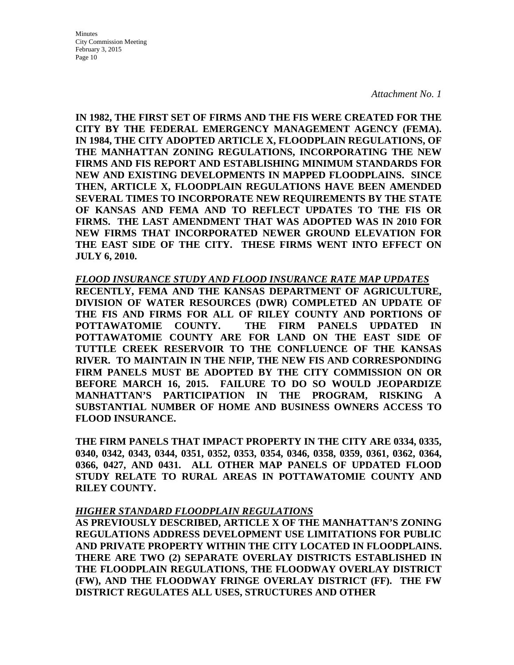Minutes City Commission Meeting February 3, 2015 Page 10

*Attachment No. 1*

**IN 1982, THE FIRST SET OF FIRMS AND THE FIS WERE CREATED FOR THE CITY BY THE FEDERAL EMERGENCY MANAGEMENT AGENCY (FEMA). IN 1984, THE CITY ADOPTED ARTICLE X, FLOODPLAIN REGULATIONS, OF THE MANHATTAN ZONING REGULATIONS, INCORPORATING THE NEW FIRMS AND FIS REPORT AND ESTABLISHING MINIMUM STANDARDS FOR NEW AND EXISTING DEVELOPMENTS IN MAPPED FLOODPLAINS. SINCE THEN, ARTICLE X, FLOODPLAIN REGULATIONS HAVE BEEN AMENDED SEVERAL TIMES TO INCORPORATE NEW REQUIREMENTS BY THE STATE OF KANSAS AND FEMA AND TO REFLECT UPDATES TO THE FIS OR FIRMS. THE LAST AMENDMENT THAT WAS ADOPTED WAS IN 2010 FOR NEW FIRMS THAT INCORPORATED NEWER GROUND ELEVATION FOR THE EAST SIDE OF THE CITY. THESE FIRMS WENT INTO EFFECT ON JULY 6, 2010.** 

#### *FLOOD INSURANCE STUDY AND FLOOD INSURANCE RATE MAP UPDATES*

**RECENTLY, FEMA AND THE KANSAS DEPARTMENT OF AGRICULTURE, DIVISION OF WATER RESOURCES (DWR) COMPLETED AN UPDATE OF THE FIS AND FIRMS FOR ALL OF RILEY COUNTY AND PORTIONS OF POTTAWATOMIE COUNTY. THE FIRM PANELS UPDATED IN POTTAWATOMIE COUNTY ARE FOR LAND ON THE EAST SIDE OF TUTTLE CREEK RESERVOIR TO THE CONFLUENCE OF THE KANSAS RIVER. TO MAINTAIN IN THE NFIP, THE NEW FIS AND CORRESPONDING FIRM PANELS MUST BE ADOPTED BY THE CITY COMMISSION ON OR BEFORE MARCH 16, 2015. FAILURE TO DO SO WOULD JEOPARDIZE MANHATTAN'S PARTICIPATION IN THE PROGRAM, RISKING A SUBSTANTIAL NUMBER OF HOME AND BUSINESS OWNERS ACCESS TO FLOOD INSURANCE.** 

**THE FIRM PANELS THAT IMPACT PROPERTY IN THE CITY ARE 0334, 0335, 0340, 0342, 0343, 0344, 0351, 0352, 0353, 0354, 0346, 0358, 0359, 0361, 0362, 0364, 0366, 0427, AND 0431. ALL OTHER MAP PANELS OF UPDATED FLOOD STUDY RELATE TO RURAL AREAS IN POTTAWATOMIE COUNTY AND RILEY COUNTY.**

#### *HIGHER STANDARD FLOODPLAIN REGULATIONS*

**AS PREVIOUSLY DESCRIBED, ARTICLE X OF THE MANHATTAN'S ZONING REGULATIONS ADDRESS DEVELOPMENT USE LIMITATIONS FOR PUBLIC AND PRIVATE PROPERTY WITHIN THE CITY LOCATED IN FLOODPLAINS. THERE ARE TWO (2) SEPARATE OVERLAY DISTRICTS ESTABLISHED IN THE FLOODPLAIN REGULATIONS, THE FLOODWAY OVERLAY DISTRICT (FW), AND THE FLOODWAY FRINGE OVERLAY DISTRICT (FF). THE FW DISTRICT REGULATES ALL USES, STRUCTURES AND OTHER**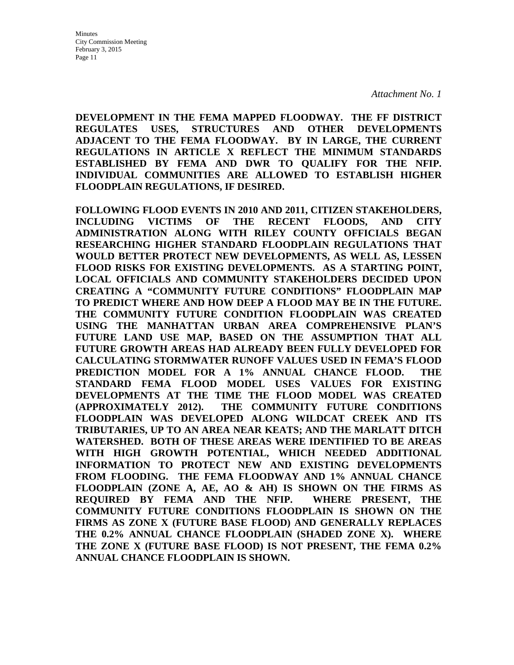**DEVELOPMENT IN THE FEMA MAPPED FLOODWAY. THE FF DISTRICT REGULATES USES, STRUCTURES AND OTHER DEVELOPMENTS ADJACENT TO THE FEMA FLOODWAY. BY IN LARGE, THE CURRENT REGULATIONS IN ARTICLE X REFLECT THE MINIMUM STANDARDS ESTABLISHED BY FEMA AND DWR TO QUALIFY FOR THE NFIP. INDIVIDUAL COMMUNITIES ARE ALLOWED TO ESTABLISH HIGHER FLOODPLAIN REGULATIONS, IF DESIRED.** 

**FOLLOWING FLOOD EVENTS IN 2010 AND 2011, CITIZEN STAKEHOLDERS, INCLUDING VICTIMS OF THE RECENT FLOODS, AND CITY ADMINISTRATION ALONG WITH RILEY COUNTY OFFICIALS BEGAN RESEARCHING HIGHER STANDARD FLOODPLAIN REGULATIONS THAT WOULD BETTER PROTECT NEW DEVELOPMENTS, AS WELL AS, LESSEN FLOOD RISKS FOR EXISTING DEVELOPMENTS. AS A STARTING POINT, LOCAL OFFICIALS AND COMMUNITY STAKEHOLDERS DECIDED UPON CREATING A "COMMUNITY FUTURE CONDITIONS" FLOODPLAIN MAP TO PREDICT WHERE AND HOW DEEP A FLOOD MAY BE IN THE FUTURE. THE COMMUNITY FUTURE CONDITION FLOODPLAIN WAS CREATED USING THE MANHATTAN URBAN AREA COMPREHENSIVE PLAN'S FUTURE LAND USE MAP, BASED ON THE ASSUMPTION THAT ALL FUTURE GROWTH AREAS HAD ALREADY BEEN FULLY DEVELOPED FOR CALCULATING STORMWATER RUNOFF VALUES USED IN FEMA'S FLOOD PREDICTION MODEL FOR A 1% ANNUAL CHANCE FLOOD. THE STANDARD FEMA FLOOD MODEL USES VALUES FOR EXISTING DEVELOPMENTS AT THE TIME THE FLOOD MODEL WAS CREATED (APPROXIMATELY 2012). THE COMMUNITY FUTURE CONDITIONS FLOODPLAIN WAS DEVELOPED ALONG WILDCAT CREEK AND ITS TRIBUTARIES, UP TO AN AREA NEAR KEATS; AND THE MARLATT DITCH WATERSHED. BOTH OF THESE AREAS WERE IDENTIFIED TO BE AREAS WITH HIGH GROWTH POTENTIAL, WHICH NEEDED ADDITIONAL INFORMATION TO PROTECT NEW AND EXISTING DEVELOPMENTS FROM FLOODING. THE FEMA FLOODWAY AND 1% ANNUAL CHANCE FLOODPLAIN (ZONE A, AE, AO & AH) IS SHOWN ON THE FIRMS AS REQUIRED BY FEMA AND THE NFIP. WHERE PRESENT, THE COMMUNITY FUTURE CONDITIONS FLOODPLAIN IS SHOWN ON THE FIRMS AS ZONE X (FUTURE BASE FLOOD) AND GENERALLY REPLACES THE 0.2% ANNUAL CHANCE FLOODPLAIN (SHADED ZONE X). WHERE THE ZONE X (FUTURE BASE FLOOD) IS NOT PRESENT, THE FEMA 0.2% ANNUAL CHANCE FLOODPLAIN IS SHOWN.**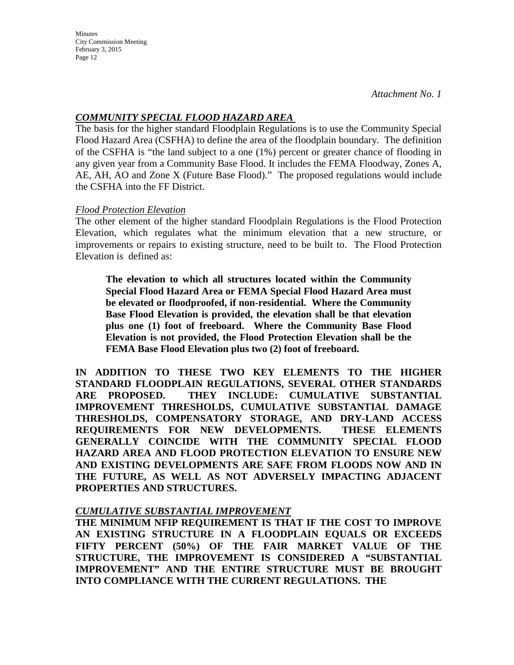**Minutes** City Commission Meeting February 3, 2015 Page 12

#### *COMMUNITY SPECIAL FLOOD HAZARD AREA*

The basis for the higher standard Floodplain Regulations is to use the Community Special Flood Hazard Area (CSFHA) to define the area of the floodplain boundary. The definition of the CSFHA is "the land subject to a one (1%) percent or greater chance of flooding in any given year from a Community Base Flood. It includes the FEMA Floodway, Zones A, AE, AH, AO and Zone X (Future Base Flood)." The proposed regulations would include the CSFHA into the FF District.

#### *Flood Protection Elevation*

The other element of the higher standard Floodplain Regulations is the Flood Protection Elevation, which regulates what the minimum elevation that a new structure, or improvements or repairs to existing structure, need to be built to. The Flood Protection Elevation is defined as:

**The elevation to which all structures located within the Community Special Flood Hazard Area or FEMA Special Flood Hazard Area must be elevated or floodproofed, if non-residential. Where the Community Base Flood Elevation is provided, the elevation shall be that elevation plus one (1) foot of freeboard. Where the Community Base Flood Elevation is not provided, the Flood Protection Elevation shall be the FEMA Base Flood Elevation plus two (2) foot of freeboard.** 

**IN ADDITION TO THESE TWO KEY ELEMENTS TO THE HIGHER STANDARD FLOODPLAIN REGULATIONS, SEVERAL OTHER STANDARDS ARE PROPOSED. THEY INCLUDE: CUMULATIVE SUBSTANTIAL IMPROVEMENT THRESHOLDS, CUMULATIVE SUBSTANTIAL DAMAGE THRESHOLDS, COMPENSATORY STORAGE, AND DRY-LAND ACCESS REQUIREMENTS FOR NEW DEVELOPMENTS. THESE ELEMENTS GENERALLY COINCIDE WITH THE COMMUNITY SPECIAL FLOOD HAZARD AREA AND FLOOD PROTECTION ELEVATION TO ENSURE NEW AND EXISTING DEVELOPMENTS ARE SAFE FROM FLOODS NOW AND IN THE FUTURE, AS WELL AS NOT ADVERSELY IMPACTING ADJACENT PROPERTIES AND STRUCTURES.**

#### *CUMULATIVE SUBSTANTIAL IMPROVEMENT*

**THE MINIMUM NFIP REQUIREMENT IS THAT IF THE COST TO IMPROVE AN EXISTING STRUCTURE IN A FLOODPLAIN EQUALS OR EXCEEDS FIFTY PERCENT (50%) OF THE FAIR MARKET VALUE OF THE STRUCTURE, THE IMPROVEMENT IS CONSIDERED A "SUBSTANTIAL IMPROVEMENT" AND THE ENTIRE STRUCTURE MUST BE BROUGHT INTO COMPLIANCE WITH THE CURRENT REGULATIONS. THE**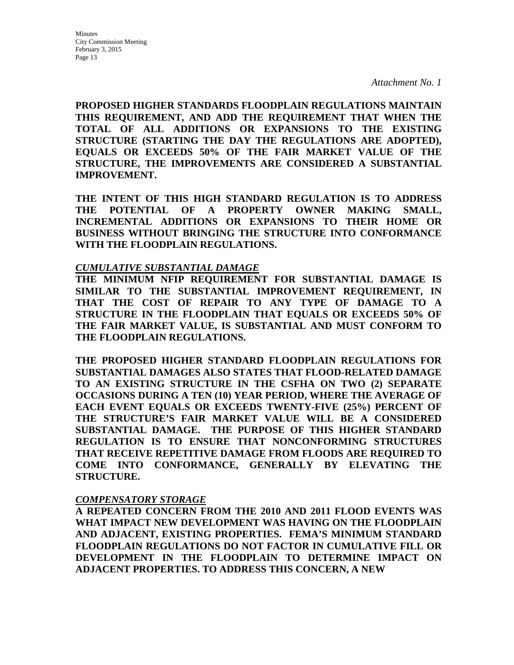**PROPOSED HIGHER STANDARDS FLOODPLAIN REGULATIONS MAINTAIN THIS REQUIREMENT, AND ADD THE REQUIREMENT THAT WHEN THE TOTAL OF ALL ADDITIONS OR EXPANSIONS TO THE EXISTING STRUCTURE (STARTING THE DAY THE REGULATIONS ARE ADOPTED), EQUALS OR EXCEEDS 50% OF THE FAIR MARKET VALUE OF THE STRUCTURE, THE IMPROVEMENTS ARE CONSIDERED A SUBSTANTIAL IMPROVEMENT.** 

**THE INTENT OF THIS HIGH STANDARD REGULATION IS TO ADDRESS THE POTENTIAL OF A PROPERTY OWNER MAKING SMALL, INCREMENTAL ADDITIONS OR EXPANSIONS TO THEIR HOME OR BUSINESS WITHOUT BRINGING THE STRUCTURE INTO CONFORMANCE WITH THE FLOODPLAIN REGULATIONS.** 

#### *CUMULATIVE SUBSTANTIAL DAMAGE*

**THE MINIMUM NFIP REQUIREMENT FOR SUBSTANTIAL DAMAGE IS SIMILAR TO THE SUBSTANTIAL IMPROVEMENT REQUIREMENT, IN THAT THE COST OF REPAIR TO ANY TYPE OF DAMAGE TO A STRUCTURE IN THE FLOODPLAIN THAT EQUALS OR EXCEEDS 50% OF THE FAIR MARKET VALUE, IS SUBSTANTIAL AND MUST CONFORM TO THE FLOODPLAIN REGULATIONS.**

**THE PROPOSED HIGHER STANDARD FLOODPLAIN REGULATIONS FOR SUBSTANTIAL DAMAGES ALSO STATES THAT FLOOD-RELATED DAMAGE TO AN EXISTING STRUCTURE IN THE CSFHA ON TWO (2) SEPARATE OCCASIONS DURING A TEN (10) YEAR PERIOD, WHERE THE AVERAGE OF EACH EVENT EQUALS OR EXCEEDS TWENTY-FIVE (25%) PERCENT OF THE STRUCTURE'S FAIR MARKET VALUE WILL BE A CONSIDERED SUBSTANTIAL DAMAGE. THE PURPOSE OF THIS HIGHER STANDARD REGULATION IS TO ENSURE THAT NONCONFORMING STRUCTURES THAT RECEIVE REPETITIVE DAMAGE FROM FLOODS ARE REQUIRED TO COME INTO CONFORMANCE, GENERALLY BY ELEVATING THE STRUCTURE.**

#### *COMPENSATORY STORAGE*

**A REPEATED CONCERN FROM THE 2010 AND 2011 FLOOD EVENTS WAS WHAT IMPACT NEW DEVELOPMENT WAS HAVING ON THE FLOODPLAIN AND ADJACENT, EXISTING PROPERTIES. FEMA'S MINIMUM STANDARD FLOODPLAIN REGULATIONS DO NOT FACTOR IN CUMULATIVE FILL OR DEVELOPMENT IN THE FLOODPLAIN TO DETERMINE IMPACT ON ADJACENT PROPERTIES. TO ADDRESS THIS CONCERN, A NEW**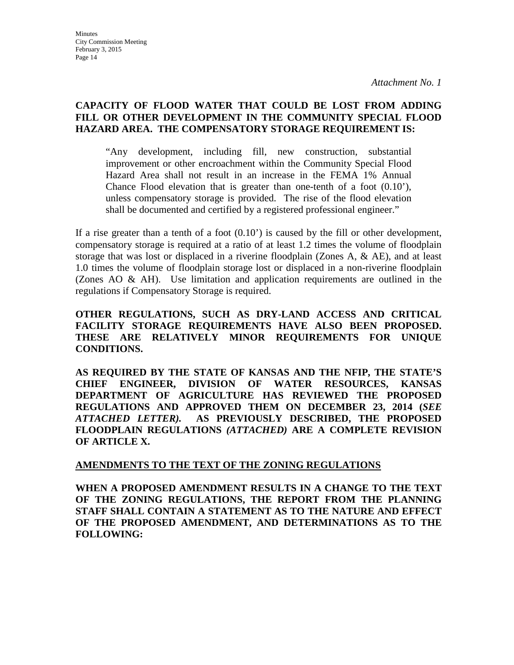**Minutes** City Commission Meeting February 3, 2015 Page 14

*Attachment No. 1*

#### **CAPACITY OF FLOOD WATER THAT COULD BE LOST FROM ADDING FILL OR OTHER DEVELOPMENT IN THE COMMUNITY SPECIAL FLOOD HAZARD AREA. THE COMPENSATORY STORAGE REQUIREMENT IS:**

"Any development, including fill, new construction, substantial improvement or other encroachment within the Community Special Flood Hazard Area shall not result in an increase in the FEMA 1% Annual Chance Flood elevation that is greater than one-tenth of a foot (0.10'), unless compensatory storage is provided. The rise of the flood elevation shall be documented and certified by a registered professional engineer."

If a rise greater than a tenth of a foot (0.10') is caused by the fill or other development, compensatory storage is required at a ratio of at least 1.2 times the volume of floodplain storage that was lost or displaced in a riverine floodplain (Zones A, & AE), and at least 1.0 times the volume of floodplain storage lost or displaced in a non-riverine floodplain (Zones AO & AH). Use limitation and application requirements are outlined in the regulations if Compensatory Storage is required.

**OTHER REGULATIONS, SUCH AS DRY-LAND ACCESS AND CRITICAL FACILITY STORAGE REQUIREMENTS HAVE ALSO BEEN PROPOSED. THESE ARE RELATIVELY MINOR REQUIREMENTS FOR UNIQUE CONDITIONS.**

**AS REQUIRED BY THE STATE OF KANSAS AND THE NFIP, THE STATE'S CHIEF ENGINEER, DIVISION OF WATER RESOURCES, KANSAS DEPARTMENT OF AGRICULTURE HAS REVIEWED THE PROPOSED REGULATIONS AND APPROVED THEM ON DECEMBER 23, 2014 (***SEE ATTACHED LETTER).* **AS PREVIOUSLY DESCRIBED, THE PROPOSED FLOODPLAIN REGULATIONS** *(ATTACHED)* **ARE A COMPLETE REVISION OF ARTICLE X.** 

#### **AMENDMENTS TO THE TEXT OF THE ZONING REGULATIONS**

**WHEN A PROPOSED AMENDMENT RESULTS IN A CHANGE TO THE TEXT OF THE ZONING REGULATIONS, THE REPORT FROM THE PLANNING STAFF SHALL CONTAIN A STATEMENT AS TO THE NATURE AND EFFECT OF THE PROPOSED AMENDMENT, AND DETERMINATIONS AS TO THE FOLLOWING:**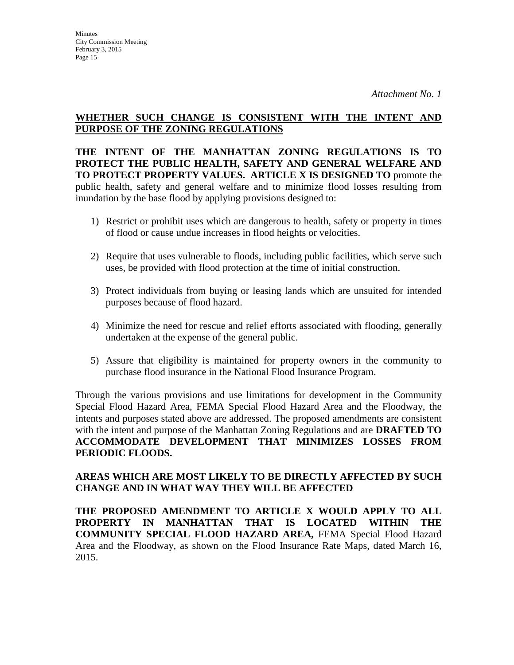**THE INTENT OF THE MANHATTAN ZONING REGULATIONS IS TO PROTECT THE PUBLIC HEALTH, SAFETY AND GENERAL WELFARE AND TO PROTECT PROPERTY VALUES. ARTICLE X IS DESIGNED TO** promote the public health, safety and general welfare and to minimize flood losses resulting from inundation by the base flood by applying provisions designed to:

- 1) Restrict or prohibit uses which are dangerous to health, safety or property in times of flood or cause undue increases in flood heights or velocities.
- 2) Require that uses vulnerable to floods, including public facilities, which serve such uses, be provided with flood protection at the time of initial construction.
- 3) Protect individuals from buying or leasing lands which are unsuited for intended purposes because of flood hazard.
- 4) Minimize the need for rescue and relief efforts associated with flooding, generally undertaken at the expense of the general public.
- 5) Assure that eligibility is maintained for property owners in the community to purchase flood insurance in the National Flood Insurance Program.

Through the various provisions and use limitations for development in the Community Special Flood Hazard Area, FEMA Special Flood Hazard Area and the Floodway, the intents and purposes stated above are addressed. The proposed amendments are consistent with the intent and purpose of the Manhattan Zoning Regulations and are **DRAFTED TO ACCOMMODATE DEVELOPMENT THAT MINIMIZES LOSSES FROM PERIODIC FLOODS.**

#### **AREAS WHICH ARE MOST LIKELY TO BE DIRECTLY AFFECTED BY SUCH CHANGE AND IN WHAT WAY THEY WILL BE AFFECTED**

**THE PROPOSED AMENDMENT TO ARTICLE X WOULD APPLY TO ALL PROPERTY IN MANHATTAN THAT IS LOCATED WITHIN THE COMMUNITY SPECIAL FLOOD HAZARD AREA,** FEMA Special Flood Hazard Area and the Floodway, as shown on the Flood Insurance Rate Maps, dated March 16, 2015.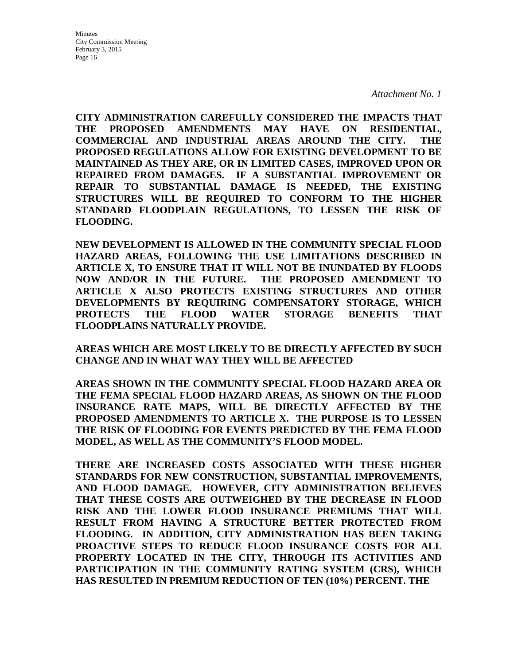**CITY ADMINISTRATION CAREFULLY CONSIDERED THE IMPACTS THAT THE PROPOSED AMENDMENTS MAY HAVE ON RESIDENTIAL, COMMERCIAL AND INDUSTRIAL AREAS AROUND THE CITY. THE PROPOSED REGULATIONS ALLOW FOR EXISTING DEVELOPMENT TO BE MAINTAINED AS THEY ARE, OR IN LIMITED CASES, IMPROVED UPON OR REPAIRED FROM DAMAGES. IF A SUBSTANTIAL IMPROVEMENT OR REPAIR TO SUBSTANTIAL DAMAGE IS NEEDED, THE EXISTING STRUCTURES WILL BE REQUIRED TO CONFORM TO THE HIGHER STANDARD FLOODPLAIN REGULATIONS, TO LESSEN THE RISK OF FLOODING.** 

**NEW DEVELOPMENT IS ALLOWED IN THE COMMUNITY SPECIAL FLOOD HAZARD AREAS, FOLLOWING THE USE LIMITATIONS DESCRIBED IN ARTICLE X, TO ENSURE THAT IT WILL NOT BE INUNDATED BY FLOODS NOW AND/OR IN THE FUTURE. THE PROPOSED AMENDMENT TO ARTICLE X ALSO PROTECTS EXISTING STRUCTURES AND OTHER DEVELOPMENTS BY REQUIRING COMPENSATORY STORAGE, WHICH PROTECTS THE FLOOD WATER STORAGE BENEFITS THAT FLOODPLAINS NATURALLY PROVIDE.** 

**AREAS WHICH ARE MOST LIKELY TO BE DIRECTLY AFFECTED BY SUCH CHANGE AND IN WHAT WAY THEY WILL BE AFFECTED**

**AREAS SHOWN IN THE COMMUNITY SPECIAL FLOOD HAZARD AREA OR THE FEMA SPECIAL FLOOD HAZARD AREAS, AS SHOWN ON THE FLOOD INSURANCE RATE MAPS, WILL BE DIRECTLY AFFECTED BY THE PROPOSED AMENDMENTS TO ARTICLE X. THE PURPOSE IS TO LESSEN THE RISK OF FLOODING FOR EVENTS PREDICTED BY THE FEMA FLOOD MODEL, AS WELL AS THE COMMUNITY'S FLOOD MODEL.** 

**THERE ARE INCREASED COSTS ASSOCIATED WITH THESE HIGHER STANDARDS FOR NEW CONSTRUCTION, SUBSTANTIAL IMPROVEMENTS, AND FLOOD DAMAGE. HOWEVER, CITY ADMINISTRATION BELIEVES THAT THESE COSTS ARE OUTWEIGHED BY THE DECREASE IN FLOOD RISK AND THE LOWER FLOOD INSURANCE PREMIUMS THAT WILL RESULT FROM HAVING A STRUCTURE BETTER PROTECTED FROM FLOODING. IN ADDITION, CITY ADMINISTRATION HAS BEEN TAKING PROACTIVE STEPS TO REDUCE FLOOD INSURANCE COSTS FOR ALL PROPERTY LOCATED IN THE CITY, THROUGH ITS ACTIVITIES AND PARTICIPATION IN THE COMMUNITY RATING SYSTEM (CRS), WHICH HAS RESULTED IN PREMIUM REDUCTION OF TEN (10%) PERCENT. THE**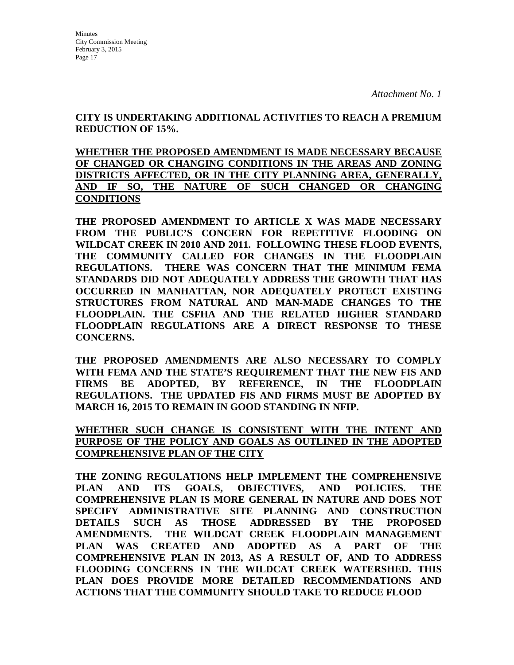Minutes City Commission Meeting February 3, 2015 Page 17

**CITY IS UNDERTAKING ADDITIONAL ACTIVITIES TO REACH A PREMIUM REDUCTION OF 15%.** 

**WHETHER THE PROPOSED AMENDMENT IS MADE NECESSARY BECAUSE OF CHANGED OR CHANGING CONDITIONS IN THE AREAS AND ZONING DISTRICTS AFFECTED, OR IN THE CITY PLANNING AREA, GENERALLY, AND IF SO, THE NATURE OF SUCH CHANGED OR CHANGING CONDITIONS**

**THE PROPOSED AMENDMENT TO ARTICLE X WAS MADE NECESSARY FROM THE PUBLIC'S CONCERN FOR REPETITIVE FLOODING ON WILDCAT CREEK IN 2010 AND 2011. FOLLOWING THESE FLOOD EVENTS, THE COMMUNITY CALLED FOR CHANGES IN THE FLOODPLAIN REGULATIONS. THERE WAS CONCERN THAT THE MINIMUM FEMA STANDARDS DID NOT ADEQUATELY ADDRESS THE GROWTH THAT HAS OCCURRED IN MANHATTAN, NOR ADEQUATELY PROTECT EXISTING STRUCTURES FROM NATURAL AND MAN-MADE CHANGES TO THE FLOODPLAIN. THE CSFHA AND THE RELATED HIGHER STANDARD FLOODPLAIN REGULATIONS ARE A DIRECT RESPONSE TO THESE CONCERNS.**

**THE PROPOSED AMENDMENTS ARE ALSO NECESSARY TO COMPLY WITH FEMA AND THE STATE'S REQUIREMENT THAT THE NEW FIS AND FIRMS BE ADOPTED, BY REFERENCE, IN THE FLOODPLAIN REGULATIONS. THE UPDATED FIS AND FIRMS MUST BE ADOPTED BY MARCH 16, 2015 TO REMAIN IN GOOD STANDING IN NFIP.**

**WHETHER SUCH CHANGE IS CONSISTENT WITH THE INTENT AND PURPOSE OF THE POLICY AND GOALS AS OUTLINED IN THE ADOPTED COMPREHENSIVE PLAN OF THE CITY**

**THE ZONING REGULATIONS HELP IMPLEMENT THE COMPREHENSIVE PLAN AND ITS GOALS, OBJECTIVES, AND POLICIES. THE COMPREHENSIVE PLAN IS MORE GENERAL IN NATURE AND DOES NOT SPECIFY ADMINISTRATIVE SITE PLANNING AND CONSTRUCTION DETAILS SUCH AS THOSE ADDRESSED BY THE PROPOSED AMENDMENTS. THE WILDCAT CREEK FLOODPLAIN MANAGEMENT PLAN WAS CREATED AND ADOPTED AS A PART OF THE COMPREHENSIVE PLAN IN 2013, AS A RESULT OF, AND TO ADDRESS FLOODING CONCERNS IN THE WILDCAT CREEK WATERSHED. THIS PLAN DOES PROVIDE MORE DETAILED RECOMMENDATIONS AND ACTIONS THAT THE COMMUNITY SHOULD TAKE TO REDUCE FLOOD**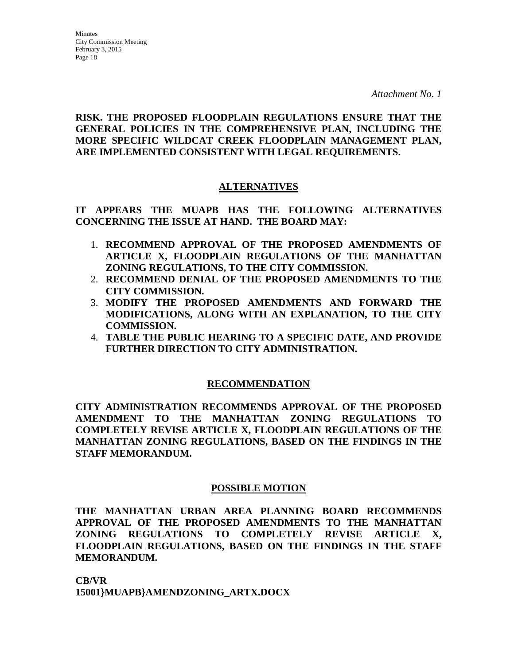#### **RISK. THE PROPOSED FLOODPLAIN REGULATIONS ENSURE THAT THE GENERAL POLICIES IN THE COMPREHENSIVE PLAN, INCLUDING THE MORE SPECIFIC WILDCAT CREEK FLOODPLAIN MANAGEMENT PLAN, ARE IMPLEMENTED CONSISTENT WITH LEGAL REQUIREMENTS.**

#### **ALTERNATIVES**

**IT APPEARS THE MUAPB HAS THE FOLLOWING ALTERNATIVES CONCERNING THE ISSUE AT HAND. THE BOARD MAY:**

- 1. **RECOMMEND APPROVAL OF THE PROPOSED AMENDMENTS OF ARTICLE X, FLOODPLAIN REGULATIONS OF THE MANHATTAN ZONING REGULATIONS, TO THE CITY COMMISSION.**
- 2. **RECOMMEND DENIAL OF THE PROPOSED AMENDMENTS TO THE CITY COMMISSION.**
- 3. **MODIFY THE PROPOSED AMENDMENTS AND FORWARD THE MODIFICATIONS, ALONG WITH AN EXPLANATION, TO THE CITY COMMISSION.**
- 4. **TABLE THE PUBLIC HEARING TO A SPECIFIC DATE, AND PROVIDE FURTHER DIRECTION TO CITY ADMINISTRATION.**

#### **RECOMMENDATION**

**CITY ADMINISTRATION RECOMMENDS APPROVAL OF THE PROPOSED AMENDMENT TO THE MANHATTAN ZONING REGULATIONS TO COMPLETELY REVISE ARTICLE X, FLOODPLAIN REGULATIONS OF THE MANHATTAN ZONING REGULATIONS, BASED ON THE FINDINGS IN THE STAFF MEMORANDUM.** 

#### **POSSIBLE MOTION**

**THE MANHATTAN URBAN AREA PLANNING BOARD RECOMMENDS APPROVAL OF THE PROPOSED AMENDMENTS TO THE MANHATTAN ZONING REGULATIONS TO COMPLETELY REVISE ARTICLE X, FLOODPLAIN REGULATIONS, BASED ON THE FINDINGS IN THE STAFF MEMORANDUM.** 

**CB/VR 15001}MUAPB}AMENDZONING\_ARTX.DOCX**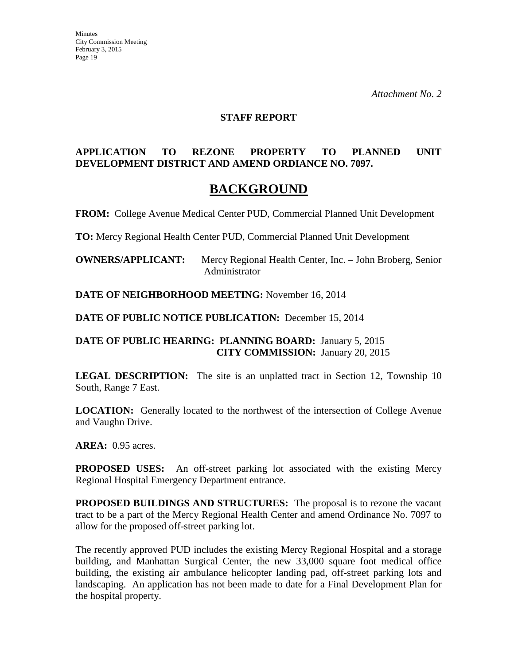#### **STAFF REPORT**

#### **APPLICATION TO REZONE PROPERTY TO PLANNED UNIT DEVELOPMENT DISTRICT AND AMEND ORDIANCE NO. 7097.**

## **BACKGROUND**

**FROM:** College Avenue Medical Center PUD, Commercial Planned Unit Development

**TO:** Mercy Regional Health Center PUD, Commercial Planned Unit Development

**OWNERS/APPLICANT:** Mercy Regional Health Center, Inc. – John Broberg, Senior Administrator

**DATE OF NEIGHBORHOOD MEETING:** November 16, 2014

**DATE OF PUBLIC NOTICE PUBLICATION:** December 15, 2014

**DATE OF PUBLIC HEARING: PLANNING BOARD:** January 5, 2015 **CITY COMMISSION:** January 20, 2015

**LEGAL DESCRIPTION:** The site is an unplatted tract in Section 12, Township 10 South, Range 7 East.

**LOCATION:** Generally located to the northwest of the intersection of College Avenue and Vaughn Drive.

**AREA:** 0.95 acres.

**PROPOSED USES:** An off-street parking lot associated with the existing Mercy Regional Hospital Emergency Department entrance.

**PROPOSED BUILDINGS AND STRUCTURES:** The proposal is to rezone the vacant tract to be a part of the Mercy Regional Health Center and amend Ordinance No. 7097 to allow for the proposed off-street parking lot.

The recently approved PUD includes the existing Mercy Regional Hospital and a storage building, and Manhattan Surgical Center, the new 33,000 square foot medical office building, the existing air ambulance helicopter landing pad, off-street parking lots and landscaping. An application has not been made to date for a Final Development Plan for the hospital property.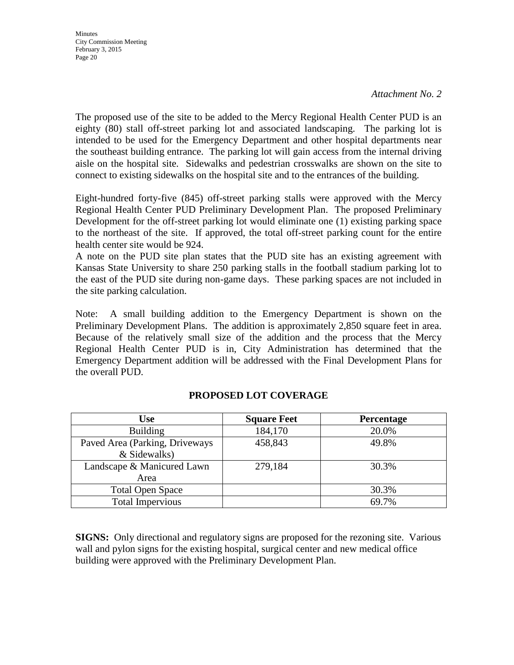**Minutes** City Commission Meeting February 3, 2015 Page 20

The proposed use of the site to be added to the Mercy Regional Health Center PUD is an eighty (80) stall off-street parking lot and associated landscaping. The parking lot is intended to be used for the Emergency Department and other hospital departments near the southeast building entrance. The parking lot will gain access from the internal driving aisle on the hospital site. Sidewalks and pedestrian crosswalks are shown on the site to connect to existing sidewalks on the hospital site and to the entrances of the building.

Eight-hundred forty-five (845) off-street parking stalls were approved with the Mercy Regional Health Center PUD Preliminary Development Plan. The proposed Preliminary Development for the off-street parking lot would eliminate one (1) existing parking space to the northeast of the site. If approved, the total off-street parking count for the entire health center site would be 924.

A note on the PUD site plan states that the PUD site has an existing agreement with Kansas State University to share 250 parking stalls in the football stadium parking lot to the east of the PUD site during non-game days. These parking spaces are not included in the site parking calculation.

Note: A small building addition to the Emergency Department is shown on the Preliminary Development Plans. The addition is approximately 2,850 square feet in area. Because of the relatively small size of the addition and the process that the Mercy Regional Health Center PUD is in, City Administration has determined that the Emergency Department addition will be addressed with the Final Development Plans for the overall PUD.

| Use                            | <b>Square Feet</b> | <b>Percentage</b> |
|--------------------------------|--------------------|-------------------|
| <b>Building</b>                | 184,170            | 20.0%             |
| Paved Area (Parking, Driveways | 458,843            | 49.8%             |
| & Sidewalks)                   |                    |                   |
| Landscape & Manicured Lawn     | 279,184            | 30.3%             |
| Area                           |                    |                   |
| <b>Total Open Space</b>        |                    | 30.3%             |
| <b>Total Impervious</b>        |                    | 69.7%             |

#### **PROPOSED LOT COVERAGE**

**SIGNS:** Only directional and regulatory signs are proposed for the rezoning site. Various wall and pylon signs for the existing hospital, surgical center and new medical office building were approved with the Preliminary Development Plan.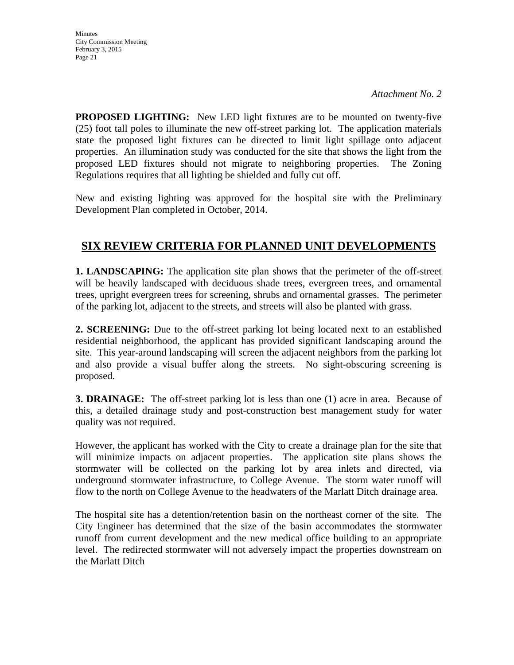**Minutes** City Commission Meeting February 3, 2015 Page 21

**PROPOSED LIGHTING:** New LED light fixtures are to be mounted on twenty-five (25) foot tall poles to illuminate the new off-street parking lot. The application materials state the proposed light fixtures can be directed to limit light spillage onto adjacent properties. An illumination study was conducted for the site that shows the light from the proposed LED fixtures should not migrate to neighboring properties. The Zoning Regulations requires that all lighting be shielded and fully cut off.

New and existing lighting was approved for the hospital site with the Preliminary Development Plan completed in October, 2014.

## **SIX REVIEW CRITERIA FOR PLANNED UNIT DEVELOPMENTS**

**1. LANDSCAPING:** The application site plan shows that the perimeter of the off-street will be heavily landscaped with deciduous shade trees, evergreen trees, and ornamental trees, upright evergreen trees for screening, shrubs and ornamental grasses. The perimeter of the parking lot, adjacent to the streets, and streets will also be planted with grass.

**2. SCREENING:** Due to the off-street parking lot being located next to an established residential neighborhood, the applicant has provided significant landscaping around the site. This year-around landscaping will screen the adjacent neighbors from the parking lot and also provide a visual buffer along the streets. No sight-obscuring screening is proposed.

**3. DRAINAGE:** The off-street parking lot is less than one (1) acre in area. Because of this, a detailed drainage study and post-construction best management study for water quality was not required.

However, the applicant has worked with the City to create a drainage plan for the site that will minimize impacts on adjacent properties. The application site plans shows the stormwater will be collected on the parking lot by area inlets and directed, via underground stormwater infrastructure, to College Avenue. The storm water runoff will flow to the north on College Avenue to the headwaters of the Marlatt Ditch drainage area.

The hospital site has a detention/retention basin on the northeast corner of the site. The City Engineer has determined that the size of the basin accommodates the stormwater runoff from current development and the new medical office building to an appropriate level. The redirected stormwater will not adversely impact the properties downstream on the Marlatt Ditch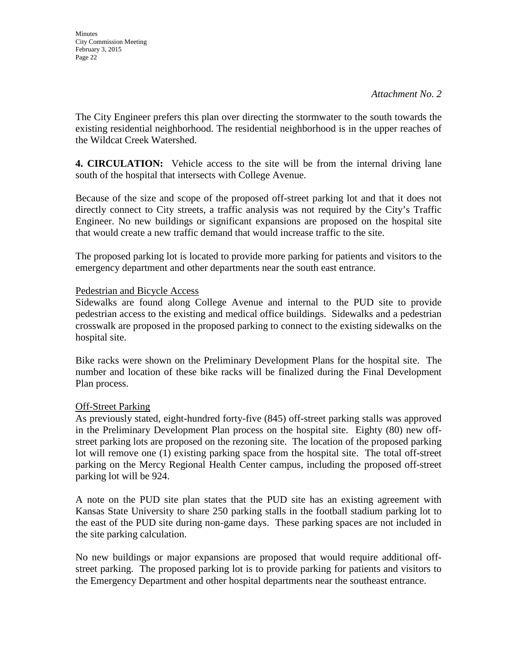The City Engineer prefers this plan over directing the stormwater to the south towards the existing residential neighborhood. The residential neighborhood is in the upper reaches of the Wildcat Creek Watershed.

**4. CIRCULATION:** Vehicle access to the site will be from the internal driving lane south of the hospital that intersects with College Avenue.

Because of the size and scope of the proposed off-street parking lot and that it does not directly connect to City streets, a traffic analysis was not required by the City's Traffic Engineer. No new buildings or significant expansions are proposed on the hospital site that would create a new traffic demand that would increase traffic to the site.

The proposed parking lot is located to provide more parking for patients and visitors to the emergency department and other departments near the south east entrance.

#### Pedestrian and Bicycle Access

Sidewalks are found along College Avenue and internal to the PUD site to provide pedestrian access to the existing and medical office buildings. Sidewalks and a pedestrian crosswalk are proposed in the proposed parking to connect to the existing sidewalks on the hospital site.

Bike racks were shown on the Preliminary Development Plans for the hospital site. The number and location of these bike racks will be finalized during the Final Development Plan process.

#### Off-Street Parking

As previously stated, eight-hundred forty-five (845) off-street parking stalls was approved in the Preliminary Development Plan process on the hospital site. Eighty (80) new offstreet parking lots are proposed on the rezoning site. The location of the proposed parking lot will remove one (1) existing parking space from the hospital site. The total off-street parking on the Mercy Regional Health Center campus, including the proposed off-street parking lot will be 924.

A note on the PUD site plan states that the PUD site has an existing agreement with Kansas State University to share 250 parking stalls in the football stadium parking lot to the east of the PUD site during non-game days. These parking spaces are not included in the site parking calculation.

No new buildings or major expansions are proposed that would require additional offstreet parking. The proposed parking lot is to provide parking for patients and visitors to the Emergency Department and other hospital departments near the southeast entrance.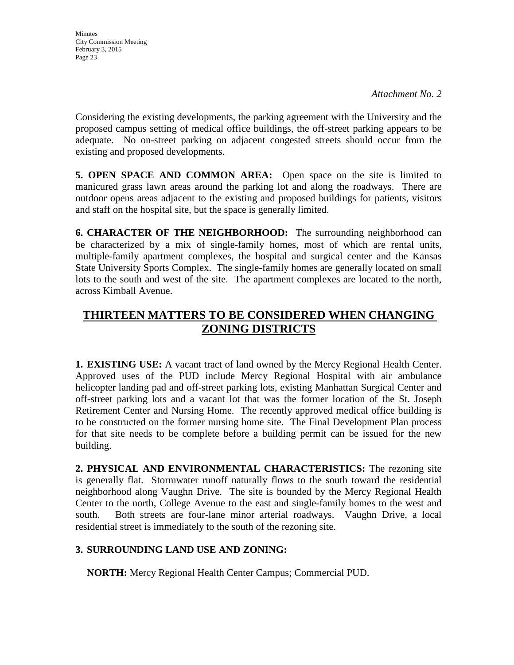Considering the existing developments, the parking agreement with the University and the proposed campus setting of medical office buildings, the off-street parking appears to be adequate. No on-street parking on adjacent congested streets should occur from the existing and proposed developments.

**5. OPEN SPACE AND COMMON AREA:** Open space on the site is limited to manicured grass lawn areas around the parking lot and along the roadways. There are outdoor opens areas adjacent to the existing and proposed buildings for patients, visitors and staff on the hospital site, but the space is generally limited.

**6. CHARACTER OF THE NEIGHBORHOOD:** The surrounding neighborhood can be characterized by a mix of single-family homes, most of which are rental units, multiple-family apartment complexes, the hospital and surgical center and the Kansas State University Sports Complex. The single-family homes are generally located on small lots to the south and west of the site. The apartment complexes are located to the north, across Kimball Avenue.

## **THIRTEEN MATTERS TO BE CONSIDERED WHEN CHANGING ZONING DISTRICTS**

**1. EXISTING USE:** A vacant tract of land owned by the Mercy Regional Health Center. Approved uses of the PUD include Mercy Regional Hospital with air ambulance helicopter landing pad and off-street parking lots, existing Manhattan Surgical Center and off-street parking lots and a vacant lot that was the former location of the St. Joseph Retirement Center and Nursing Home. The recently approved medical office building is to be constructed on the former nursing home site. The Final Development Plan process for that site needs to be complete before a building permit can be issued for the new building.

**2. PHYSICAL AND ENVIRONMENTAL CHARACTERISTICS:** The rezoning site is generally flat. Stormwater runoff naturally flows to the south toward the residential neighborhood along Vaughn Drive. The site is bounded by the Mercy Regional Health Center to the north, College Avenue to the east and single-family homes to the west and south. Both streets are four-lane minor arterial roadways. Vaughn Drive, a local residential street is immediately to the south of the rezoning site.

#### **3. SURROUNDING LAND USE AND ZONING:**

**NORTH:** Mercy Regional Health Center Campus; Commercial PUD.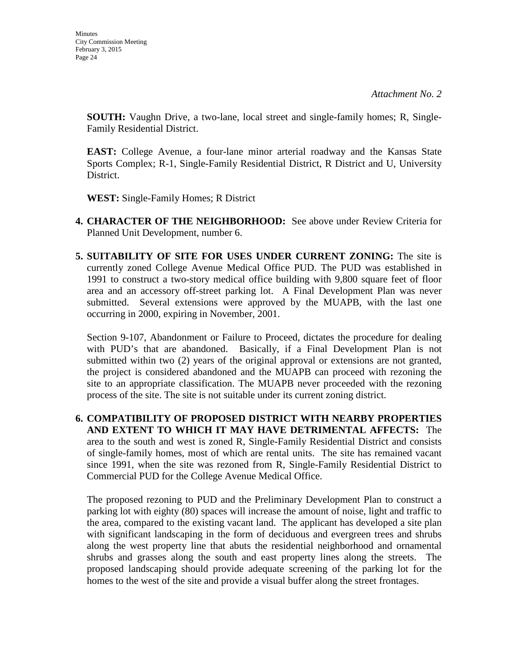**SOUTH:** Vaughn Drive, a two-lane, local street and single-family homes; R, Single-Family Residential District.

**EAST:** College Avenue, a four-lane minor arterial roadway and the Kansas State Sports Complex; R-1, Single-Family Residential District, R District and U, University District.

**WEST:** Single-Family Homes; R District

- **4. CHARACTER OF THE NEIGHBORHOOD:** See above under Review Criteria for Planned Unit Development, number 6.
- **5. SUITABILITY OF SITE FOR USES UNDER CURRENT ZONING:** The site is currently zoned College Avenue Medical Office PUD. The PUD was established in 1991 to construct a two-story medical office building with 9,800 square feet of floor area and an accessory off-street parking lot. A Final Development Plan was never submitted. Several extensions were approved by the MUAPB, with the last one occurring in 2000, expiring in November, 2001.

Section 9-107, Abandonment or Failure to Proceed, dictates the procedure for dealing with PUD's that are abandoned. Basically, if a Final Development Plan is not submitted within two (2) years of the original approval or extensions are not granted, the project is considered abandoned and the MUAPB can proceed with rezoning the site to an appropriate classification. The MUAPB never proceeded with the rezoning process of the site. The site is not suitable under its current zoning district.

**6. COMPATIBILITY OF PROPOSED DISTRICT WITH NEARBY PROPERTIES AND EXTENT TO WHICH IT MAY HAVE DETRIMENTAL AFFECTS:** The area to the south and west is zoned R, Single-Family Residential District and consists of single-family homes, most of which are rental units. The site has remained vacant since 1991, when the site was rezoned from R, Single-Family Residential District to Commercial PUD for the College Avenue Medical Office.

The proposed rezoning to PUD and the Preliminary Development Plan to construct a parking lot with eighty (80) spaces will increase the amount of noise, light and traffic to the area, compared to the existing vacant land. The applicant has developed a site plan with significant landscaping in the form of deciduous and evergreen trees and shrubs along the west property line that abuts the residential neighborhood and ornamental shrubs and grasses along the south and east property lines along the streets. The proposed landscaping should provide adequate screening of the parking lot for the homes to the west of the site and provide a visual buffer along the street frontages.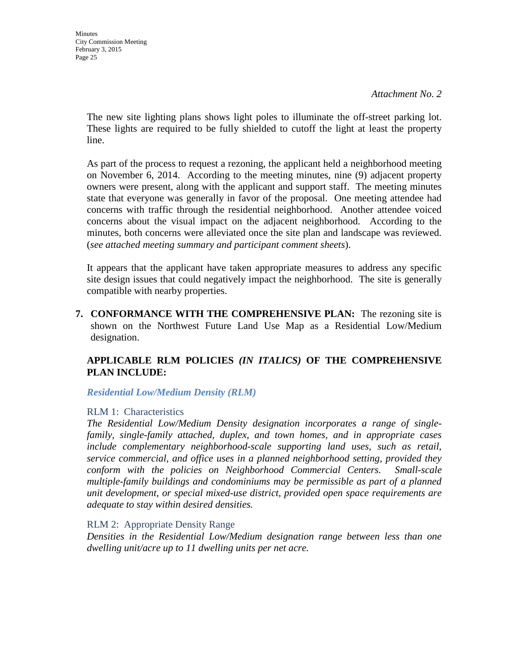The new site lighting plans shows light poles to illuminate the off-street parking lot. These lights are required to be fully shielded to cutoff the light at least the property line.

As part of the process to request a rezoning, the applicant held a neighborhood meeting on November 6, 2014. According to the meeting minutes, nine (9) adjacent property owners were present, along with the applicant and support staff. The meeting minutes state that everyone was generally in favor of the proposal. One meeting attendee had concerns with traffic through the residential neighborhood. Another attendee voiced concerns about the visual impact on the adjacent neighborhood. According to the minutes, both concerns were alleviated once the site plan and landscape was reviewed. (*see attached meeting summary and participant comment sheets*).

It appears that the applicant have taken appropriate measures to address any specific site design issues that could negatively impact the neighborhood. The site is generally compatible with nearby properties.

**7. CONFORMANCE WITH THE COMPREHENSIVE PLAN:** The rezoning site is shown on the Northwest Future Land Use Map as a Residential Low/Medium designation.

#### **APPLICABLE RLM POLICIES** *(IN ITALICS)* **OF THE COMPREHENSIVE PLAN INCLUDE:**

*Residential Low/Medium Density (RLM)*

#### RLM 1: Characteristics

*The Residential Low/Medium Density designation incorporates a range of singlefamily, single-family attached, duplex, and town homes, and in appropriate cases include complementary neighborhood-scale supporting land uses, such as retail, service commercial, and office uses in a planned neighborhood setting, provided they conform with the policies on Neighborhood Commercial Centers. Small-scale multiple-family buildings and condominiums may be permissible as part of a planned unit development, or special mixed-use district, provided open space requirements are adequate to stay within desired densities.* 

#### RLM 2: Appropriate Density Range

*Densities in the Residential Low/Medium designation range between less than one dwelling unit/acre up to 11 dwelling units per net acre.*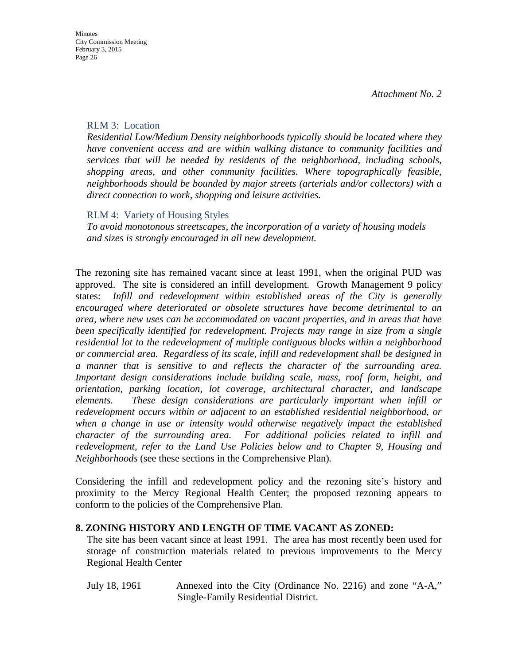#### RLM 3: Location

*Residential Low/Medium Density neighborhoods typically should be located where they have convenient access and are within walking distance to community facilities and services that will be needed by residents of the neighborhood, including schools, shopping areas, and other community facilities. Where topographically feasible, neighborhoods should be bounded by major streets (arterials and/or collectors) with a direct connection to work, shopping and leisure activities.* 

#### RLM 4: Variety of Housing Styles

*To avoid monotonous streetscapes, the incorporation of a variety of housing models and sizes is strongly encouraged in all new development.* 

The rezoning site has remained vacant since at least 1991, when the original PUD was approved. The site is considered an infill development. Growth Management 9 policy states: *Infill and redevelopment within established areas of the City is generally encouraged where deteriorated or obsolete structures have become detrimental to an area, where new uses can be accommodated on vacant properties, and in areas that have been specifically identified for redevelopment. Projects may range in size from a single residential lot to the redevelopment of multiple contiguous blocks within a neighborhood or commercial area. Regardless of its scale, infill and redevelopment shall be designed in a manner that is sensitive to and reflects the character of the surrounding area. Important design considerations include building scale, mass, roof form, height, and orientation, parking location, lot coverage, architectural character, and landscape elements. These design considerations are particularly important when infill or redevelopment occurs within or adjacent to an established residential neighborhood, or when a change in use or intensity would otherwise negatively impact the established character of the surrounding area. For additional policies related to infill and redevelopment, refer to the Land Use Policies below and to Chapter 9, Housing and Neighborhoods* (see these sections in the Comprehensive Plan)*.*

Considering the infill and redevelopment policy and the rezoning site's history and proximity to the Mercy Regional Health Center; the proposed rezoning appears to conform to the policies of the Comprehensive Plan.

#### **8. ZONING HISTORY AND LENGTH OF TIME VACANT AS ZONED:**

The site has been vacant since at least 1991. The area has most recently been used for storage of construction materials related to previous improvements to the Mercy Regional Health Center

July 18, 1961 Annexed into the City (Ordinance No. 2216) and zone "A-A," Single-Family Residential District.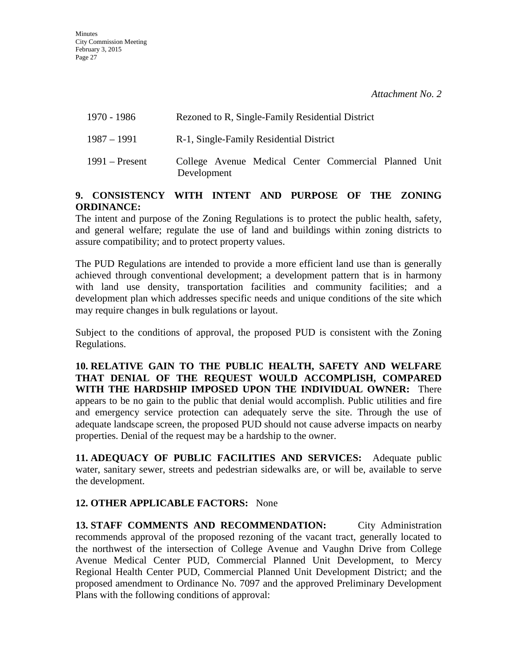| 1970 - 1986      | Rezoned to R, Single-Family Residential District                     |
|------------------|----------------------------------------------------------------------|
| 1987 – 1991      | R-1, Single-Family Residential District                              |
| $1991 -$ Present | College Avenue Medical Center Commercial Planned Unit<br>Development |

#### **9. CONSISTENCY WITH INTENT AND PURPOSE OF THE ZONING ORDINANCE:**

The intent and purpose of the Zoning Regulations is to protect the public health, safety, and general welfare; regulate the use of land and buildings within zoning districts to assure compatibility; and to protect property values.

The PUD Regulations are intended to provide a more efficient land use than is generally achieved through conventional development; a development pattern that is in harmony with land use density, transportation facilities and community facilities; and a development plan which addresses specific needs and unique conditions of the site which may require changes in bulk regulations or layout.

Subject to the conditions of approval, the proposed PUD is consistent with the Zoning Regulations.

**10. RELATIVE GAIN TO THE PUBLIC HEALTH, SAFETY AND WELFARE THAT DENIAL OF THE REQUEST WOULD ACCOMPLISH, COMPARED WITH THE HARDSHIP IMPOSED UPON THE INDIVIDUAL OWNER:** There appears to be no gain to the public that denial would accomplish. Public utilities and fire and emergency service protection can adequately serve the site. Through the use of adequate landscape screen, the proposed PUD should not cause adverse impacts on nearby properties. Denial of the request may be a hardship to the owner.

**11. ADEQUACY OF PUBLIC FACILITIES AND SERVICES:** Adequate public water, sanitary sewer, streets and pedestrian sidewalks are, or will be, available to serve the development.

#### **12. OTHER APPLICABLE FACTORS:** None

**13. STAFF COMMENTS AND RECOMMENDATION:** City Administration recommends approval of the proposed rezoning of the vacant tract, generally located to the northwest of the intersection of College Avenue and Vaughn Drive from College Avenue Medical Center PUD, Commercial Planned Unit Development, to Mercy Regional Health Center PUD, Commercial Planned Unit Development District; and the proposed amendment to Ordinance No. 7097 and the approved Preliminary Development Plans with the following conditions of approval: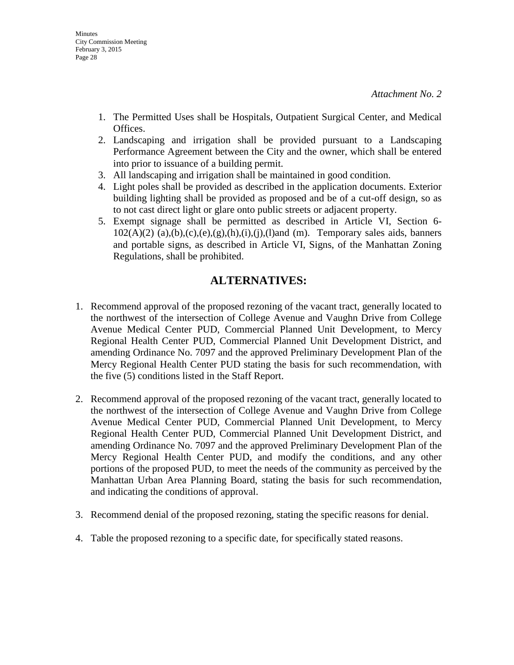- 1. The Permitted Uses shall be Hospitals, Outpatient Surgical Center, and Medical Offices.
- 2. Landscaping and irrigation shall be provided pursuant to a Landscaping Performance Agreement between the City and the owner, which shall be entered into prior to issuance of a building permit.
- 3. All landscaping and irrigation shall be maintained in good condition.
- 4. Light poles shall be provided as described in the application documents. Exterior building lighting shall be provided as proposed and be of a cut-off design, so as to not cast direct light or glare onto public streets or adjacent property.
- 5. Exempt signage shall be permitted as described in Article VI, Section 6-  $102(A)(2)$  (a),(b),(c),(e),(g),(h),(i),(j),(l)and (m). Temporary sales aids, banners and portable signs, as described in Article VI, Signs, of the Manhattan Zoning Regulations, shall be prohibited.

## **ALTERNATIVES:**

- 1. Recommend approval of the proposed rezoning of the vacant tract, generally located to the northwest of the intersection of College Avenue and Vaughn Drive from College Avenue Medical Center PUD, Commercial Planned Unit Development, to Mercy Regional Health Center PUD, Commercial Planned Unit Development District, and amending Ordinance No. 7097 and the approved Preliminary Development Plan of the Mercy Regional Health Center PUD stating the basis for such recommendation, with the five (5) conditions listed in the Staff Report.
- 2. Recommend approval of the proposed rezoning of the vacant tract, generally located to the northwest of the intersection of College Avenue and Vaughn Drive from College Avenue Medical Center PUD, Commercial Planned Unit Development, to Mercy Regional Health Center PUD, Commercial Planned Unit Development District, and amending Ordinance No. 7097 and the approved Preliminary Development Plan of the Mercy Regional Health Center PUD, and modify the conditions, and any other portions of the proposed PUD, to meet the needs of the community as perceived by the Manhattan Urban Area Planning Board, stating the basis for such recommendation, and indicating the conditions of approval.
- 3. Recommend denial of the proposed rezoning, stating the specific reasons for denial.
- 4. Table the proposed rezoning to a specific date, for specifically stated reasons.